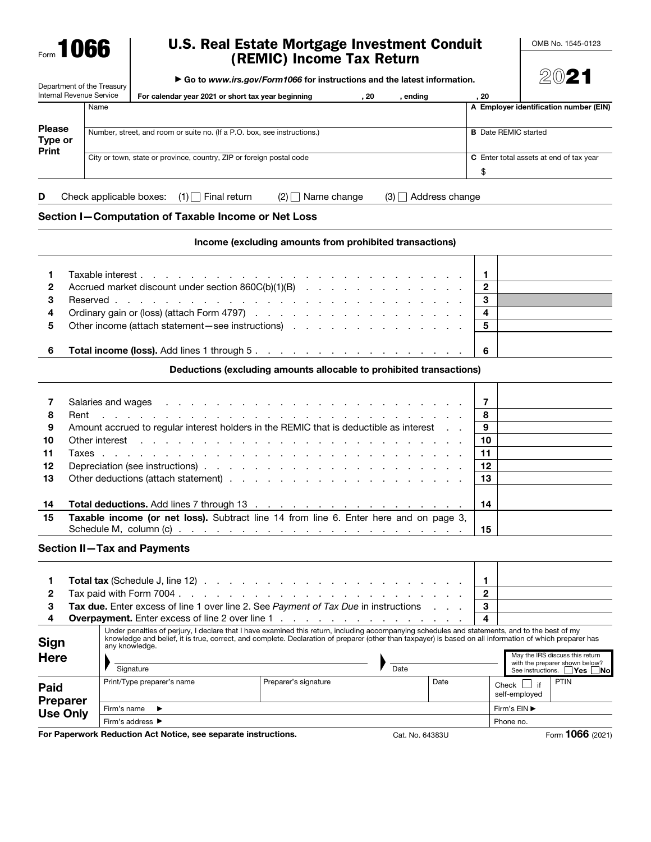Form **1066** 

# U.S. Real Estate Mortgage Investment Conduit (REMIC) Income Tax Return

OMB No. 1545-0123

|                                                        |                    | Go to www.irs.gov/Form1066 for instructions and the latest information.                                        |              |                                         |  |  |
|--------------------------------------------------------|--------------------|----------------------------------------------------------------------------------------------------------------|--------------|-----------------------------------------|--|--|
| Department of the Treasury<br>Internal Revenue Service |                    | For calendar year 2021 or short tax year beginning<br>. 20<br>, ending                                         | , 20         |                                         |  |  |
|                                                        | Name               |                                                                                                                |              | A Employer identification number (EIN)  |  |  |
| <b>Please</b><br>Type or                               |                    | Number, street, and room or suite no. (If a P.O. box, see instructions.)                                       |              | <b>B</b> Date REMIC started             |  |  |
| Print                                                  |                    | City or town, state or province, country, ZIP or foreign postal code                                           | \$           | C Enter total assets at end of tax year |  |  |
| D                                                      |                    | Check applicable boxes: $(1)$ Final return<br>Name change<br>$(3)$ Address change<br>(2)                       |              |                                         |  |  |
|                                                        |                    | Section I-Computation of Taxable Income or Net Loss                                                            |              |                                         |  |  |
|                                                        |                    | Income (excluding amounts from prohibited transactions)                                                        |              |                                         |  |  |
|                                                        |                    |                                                                                                                | 1            |                                         |  |  |
| 2                                                      |                    | Accrued market discount under section $860C(b)(1)(B)$                                                          | $\mathbf{2}$ |                                         |  |  |
| 3                                                      |                    |                                                                                                                | 3            |                                         |  |  |
| 4                                                      | 4                  |                                                                                                                |              |                                         |  |  |
| 5                                                      |                    | Other income (attach statement – see instructions) entitled and the contract of the contract of the Cherland C | 5            |                                         |  |  |
| 6                                                      |                    |                                                                                                                | 6            |                                         |  |  |
|                                                        |                    | Deductions (excluding amounts allocable to prohibited transactions)                                            |              |                                         |  |  |
|                                                        | Salaries and wages |                                                                                                                | 7            |                                         |  |  |

|    | Salaries and wages entertainment and state of the contract of the contract of the contract of the contract of the contract of the contract of the contract of the contract of the contract of the contract of the contract of  |       |  |
|----|--------------------------------------------------------------------------------------------------------------------------------------------------------------------------------------------------------------------------------|-------|--|
| 8  |                                                                                                                                                                                                                                | - 8   |  |
| 9  | Amount accrued to regular interest holders in the REMIC that is deductible as interest                                                                                                                                         | . 9   |  |
| 10 | Other interest resources and contact the contact of the contact of the contact of the contact of the contact of the contact of the contact of the contact of the contact of the contact of the contact of the contact of the c | -10   |  |
| 11 |                                                                                                                                                                                                                                | $-11$ |  |
| 12 |                                                                                                                                                                                                                                |       |  |
| 13 |                                                                                                                                                                                                                                |       |  |
| 14 |                                                                                                                                                                                                                                | -14   |  |
| 15 | <b>Taxable income (or net loss).</b> Subtract line 14 from line 6. Enter here and on page 3,                                                                                                                                   |       |  |
|    | Schedule M, column (c) $\ldots$ $\ldots$ $\ldots$ $\ldots$ $\ldots$ $\ldots$ $\ldots$ $\ldots$ $\ldots$ $\ldots$                                                                                                               | -15   |  |

#### Section II—Tax and Payments

| <b>Total tax</b> (Schedule J, line 12) $\ldots$ $\ldots$ $\ldots$ $\ldots$ $\ldots$ $\ldots$ $\ldots$ $\ldots$ $\mid$ 1 |  |
|-------------------------------------------------------------------------------------------------------------------------|--|
|                                                                                                                         |  |
| 3 Tax due. Enter excess of line 1 over line 2. See Payment of Tax Due in instructions   3                               |  |
| 4 Overpayment. Enter excess of line 2 over line 1   4                                                                   |  |

| <b>Sign</b>                        | any knowledge.                                                                                                 | Under penalties of perjury, I declare that I have examined this return, including accompanying schedules and statements, and to the best of my<br>knowledge and belief, it is true, correct, and complete. Declaration of preparer (other than taxpayer) is based on all information of which preparer has |       | May the IRS discuss this return                                    |  |  |
|------------------------------------|----------------------------------------------------------------------------------------------------------------|------------------------------------------------------------------------------------------------------------------------------------------------------------------------------------------------------------------------------------------------------------------------------------------------------------|-------|--------------------------------------------------------------------|--|--|
| <b>Here</b>                        | Signature                                                                                                      |                                                                                                                                                                                                                                                                                                            | Date  | with the preparer shown below?<br>i ¯Yes ∐No∥<br>See instructions. |  |  |
| Paid                               | Print/Type preparer's name                                                                                     | Preparer's signature                                                                                                                                                                                                                                                                                       | Date  | PTIN<br>Check<br>if<br>self-emploved                               |  |  |
| <b>Preparer</b><br><b>Use Only</b> | Firm's name<br>-                                                                                               |                                                                                                                                                                                                                                                                                                            |       | Firm's EIN ▶                                                       |  |  |
|                                    | Firm's address ▶                                                                                               | Phone no.                                                                                                                                                                                                                                                                                                  |       |                                                                    |  |  |
|                                    | En a Branca a contra Branca de la face de la face de la contra de la contra de la face de la face de la face d |                                                                                                                                                                                                                                                                                                            | _ _ _ | $1000 \div 10$                                                     |  |  |

For Paperwork Reduction Act Notice, see separate instructions. Cat. No. 64383U Form 1066 (2021)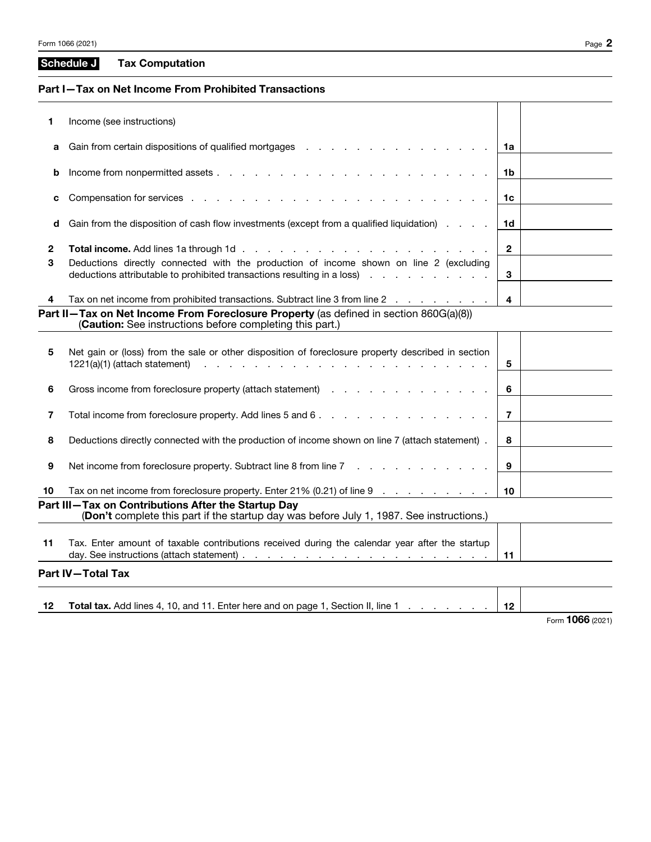## Schedule J Tax Computation

#### Part I—Tax on Net Income From Prohibited Transactions

| 1            | Income (see instructions)                                                                                                                                                                                                                                              |                         |
|--------------|------------------------------------------------------------------------------------------------------------------------------------------------------------------------------------------------------------------------------------------------------------------------|-------------------------|
| a            | Gain from certain dispositions of qualified mortgages enters and and all the control of the control of the control of the control of the control of the control of the control of the control of the control of the control of                                         | 1a                      |
| b            |                                                                                                                                                                                                                                                                        | 1b                      |
| c            |                                                                                                                                                                                                                                                                        | 1c                      |
| d            | Gain from the disposition of cash flow investments (except from a qualified liquidation)                                                                                                                                                                               | 1d                      |
| $\mathbf{2}$ |                                                                                                                                                                                                                                                                        | $\mathbf{2}$            |
| 3            | Deductions directly connected with the production of income shown on line 2 (excluding<br>deductions attributable to prohibited transactions resulting in a loss) entitled as a control of the deductions attributable to prohibited transactions resulting in a loss) | 3                       |
| 4            | Tax on net income from prohibited transactions. Subtract line 3 from line 2                                                                                                                                                                                            | $\overline{\mathbf{4}}$ |
|              | Part II-Tax on Net Income From Foreclosure Property (as defined in section 860G(a)(8))<br>(Caution: See instructions before completing this part.)                                                                                                                     |                         |
| 5            | Net gain or (loss) from the sale or other disposition of foreclosure property described in section<br><u>. Kara masa sa kasa sa kasa sa kasa sa kasa sa kasa</u><br>1221(a)(1) (attach statement)                                                                      | 5                       |
| 6            | Gross income from foreclosure property (attach statement)                                                                                                                                                                                                              | 6                       |
| 7            | Total income from foreclosure property. Add lines 5 and 6.                                                                                                                                                                                                             | $\overline{7}$          |
| 8            | Deductions directly connected with the production of income shown on line 7 (attach statement).                                                                                                                                                                        | 8                       |
| 9            | Net income from foreclosure property. Subtract line 8 from line 7                                                                                                                                                                                                      | 9                       |
| 10           | Tax on net income from foreclosure property. Enter 21% (0.21) of line 9                                                                                                                                                                                                | 10                      |
|              | Part III-Tax on Contributions After the Startup Day<br>(Don't complete this part if the startup day was before July 1, 1987. See instructions.)                                                                                                                        |                         |
| 11           | Tax. Enter amount of taxable contributions received during the calendar year after the startup                                                                                                                                                                         | 11                      |
|              | <b>Part IV-Total Tax</b>                                                                                                                                                                                                                                               |                         |

| 12 | <b>Total tax.</b> Add lines 4, 10, and 11. Enter here and on page 1, Section II, line 1 and a summary set of the set o |                              |
|----|------------------------------------------------------------------------------------------------------------------------|------------------------------|
|    |                                                                                                                        | $F_{\text{sum}}$ 1066 (0001) |

Form 1066 (2021)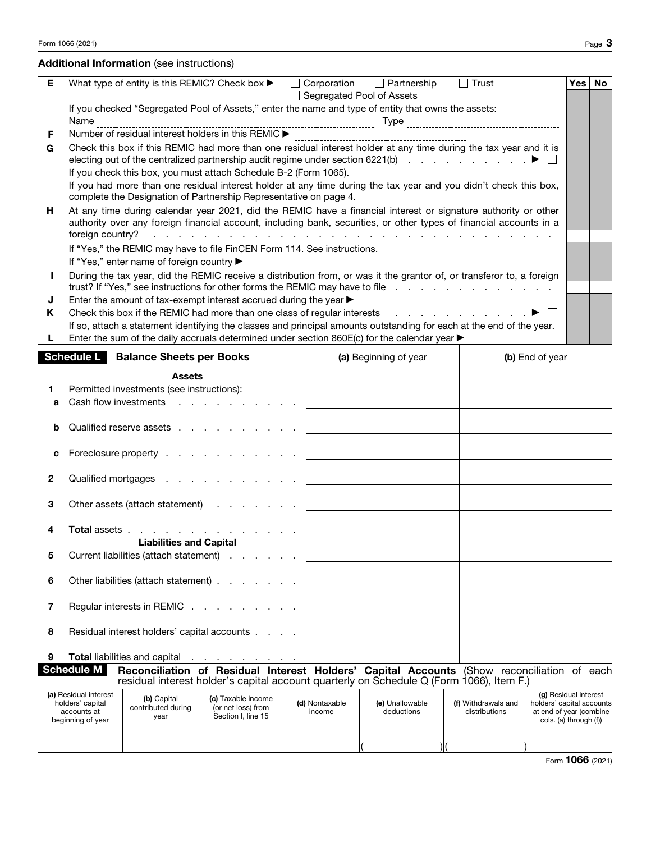|    |                                                                                                                                                                                                                                         | <b>Additional Information (see instructions)</b> |                                                                                                                                                                                                                                                                                                                                                                                                                                                                        |  |                          |                                      |  |                                      |                                                                                                         |            |           |
|----|-----------------------------------------------------------------------------------------------------------------------------------------------------------------------------------------------------------------------------------------|--------------------------------------------------|------------------------------------------------------------------------------------------------------------------------------------------------------------------------------------------------------------------------------------------------------------------------------------------------------------------------------------------------------------------------------------------------------------------------------------------------------------------------|--|--------------------------|--------------------------------------|--|--------------------------------------|---------------------------------------------------------------------------------------------------------|------------|-----------|
| Е  |                                                                                                                                                                                                                                         |                                                  | What type of entity is this REMIC? Check box $\blacktriangleright$ $\Box$ Corporation                                                                                                                                                                                                                                                                                                                                                                                  |  |                          | $\Box$ Partnership                   |  | $\Box$ Trust                         |                                                                                                         | <b>Yes</b> | <b>No</b> |
|    |                                                                                                                                                                                                                                         |                                                  |                                                                                                                                                                                                                                                                                                                                                                                                                                                                        |  |                          | Segregated Pool of Assets            |  |                                      |                                                                                                         |            |           |
|    |                                                                                                                                                                                                                                         |                                                  | If you checked "Segregated Pool of Assets," enter the name and type of entity that owns the assets:                                                                                                                                                                                                                                                                                                                                                                    |  |                          |                                      |  |                                      |                                                                                                         |            |           |
| F  | Name<br>Number of residual interest holders in this REMIC ▶                                                                                                                                                                             |                                                  |                                                                                                                                                                                                                                                                                                                                                                                                                                                                        |  |                          |                                      |  |                                      |                                                                                                         |            |           |
| G  |                                                                                                                                                                                                                                         |                                                  |                                                                                                                                                                                                                                                                                                                                                                                                                                                                        |  |                          |                                      |  |                                      |                                                                                                         |            |           |
|    | Check this box if this REMIC had more than one residual interest holder at any time during the tax year and it is<br>electing out of the centralized partnership audit regime under section 6221(b) $\ldots$ $\blacktriangleright \Box$ |                                                  |                                                                                                                                                                                                                                                                                                                                                                                                                                                                        |  |                          |                                      |  |                                      |                                                                                                         |            |           |
|    |                                                                                                                                                                                                                                         |                                                  | If you check this box, you must attach Schedule B-2 (Form 1065).                                                                                                                                                                                                                                                                                                                                                                                                       |  |                          |                                      |  |                                      |                                                                                                         |            |           |
|    | If you had more than one residual interest holder at any time during the tax year and you didn't check this box,<br>complete the Designation of Partnership Representative on page 4.                                                   |                                                  |                                                                                                                                                                                                                                                                                                                                                                                                                                                                        |  |                          |                                      |  |                                      |                                                                                                         |            |           |
| н. | foreign country?                                                                                                                                                                                                                        |                                                  | At any time during calendar year 2021, did the REMIC have a financial interest or signature authority or other<br>authority over any foreign financial account, including bank, securities, or other types of financial accounts in a<br>and a construction of the construction of the construction of the construction of the construction of the construction of the construction of the construction of the construction of the construction of the construction of |  |                          |                                      |  |                                      |                                                                                                         |            |           |
|    |                                                                                                                                                                                                                                         | If "Yes," enter name of foreign country          | If "Yes," the REMIC may have to file FinCEN Form 114. See instructions.                                                                                                                                                                                                                                                                                                                                                                                                |  |                          |                                      |  |                                      |                                                                                                         |            |           |
| ı  |                                                                                                                                                                                                                                         |                                                  | During the tax year, did the REMIC receive a distribution from, or was it the grantor of, or transferor to, a foreign                                                                                                                                                                                                                                                                                                                                                  |  |                          |                                      |  |                                      |                                                                                                         |            |           |
| J  |                                                                                                                                                                                                                                         |                                                  | trust? If "Yes," see instructions for other forms the REMIC may have to file<br>Enter the amount of tax-exempt interest accrued during the year >                                                                                                                                                                                                                                                                                                                      |  |                          |                                      |  |                                      |                                                                                                         |            |           |
| Κ  |                                                                                                                                                                                                                                         |                                                  | Check this box if the REMIC had more than one class of regular interests                                                                                                                                                                                                                                                                                                                                                                                               |  |                          | ____________________________________ |  |                                      |                                                                                                         |            |           |
|    |                                                                                                                                                                                                                                         |                                                  | If so, attach a statement identifying the classes and principal amounts outstanding for each at the end of the year.                                                                                                                                                                                                                                                                                                                                                   |  |                          |                                      |  |                                      |                                                                                                         |            |           |
| L  |                                                                                                                                                                                                                                         |                                                  | Enter the sum of the daily accruals determined under section $860E(c)$ for the calendar year $\blacktriangleright$                                                                                                                                                                                                                                                                                                                                                     |  |                          |                                      |  |                                      |                                                                                                         |            |           |
|    | <b>Schedule L</b>                                                                                                                                                                                                                       | <b>Balance Sheets per Books</b>                  |                                                                                                                                                                                                                                                                                                                                                                                                                                                                        |  |                          | (a) Beginning of year                |  |                                      | (b) End of year                                                                                         |            |           |
|    |                                                                                                                                                                                                                                         | <b>Assets</b>                                    |                                                                                                                                                                                                                                                                                                                                                                                                                                                                        |  |                          |                                      |  |                                      |                                                                                                         |            |           |
| 1  |                                                                                                                                                                                                                                         | Permitted investments (see instructions):        |                                                                                                                                                                                                                                                                                                                                                                                                                                                                        |  |                          |                                      |  |                                      |                                                                                                         |            |           |
| a  |                                                                                                                                                                                                                                         |                                                  | Cash flow investments                                                                                                                                                                                                                                                                                                                                                                                                                                                  |  |                          |                                      |  |                                      |                                                                                                         |            |           |
| b  |                                                                                                                                                                                                                                         |                                                  | Qualified reserve assets                                                                                                                                                                                                                                                                                                                                                                                                                                               |  |                          |                                      |  |                                      |                                                                                                         |            |           |
| с  |                                                                                                                                                                                                                                         |                                                  | Foreclosure property                                                                                                                                                                                                                                                                                                                                                                                                                                                   |  |                          |                                      |  |                                      |                                                                                                         |            |           |
| 2  |                                                                                                                                                                                                                                         |                                                  | Qualified mortgages                                                                                                                                                                                                                                                                                                                                                                                                                                                    |  |                          |                                      |  |                                      |                                                                                                         |            |           |
| 3  |                                                                                                                                                                                                                                         |                                                  | Other assets (attach statement)                                                                                                                                                                                                                                                                                                                                                                                                                                        |  |                          |                                      |  |                                      |                                                                                                         |            |           |
|    | <b>Total assets</b>                                                                                                                                                                                                                     |                                                  | and a strategic control of                                                                                                                                                                                                                                                                                                                                                                                                                                             |  |                          |                                      |  |                                      |                                                                                                         |            |           |
|    |                                                                                                                                                                                                                                         | <b>Liabilities and Capital</b>                   |                                                                                                                                                                                                                                                                                                                                                                                                                                                                        |  |                          |                                      |  |                                      |                                                                                                         |            |           |
| 5  |                                                                                                                                                                                                                                         | Current liabilities (attach statement)           | and a state of the state                                                                                                                                                                                                                                                                                                                                                                                                                                               |  |                          |                                      |  |                                      |                                                                                                         |            |           |
| 6  |                                                                                                                                                                                                                                         |                                                  | Other liabilities (attach statement)                                                                                                                                                                                                                                                                                                                                                                                                                                   |  |                          |                                      |  |                                      |                                                                                                         |            |           |
| 7  |                                                                                                                                                                                                                                         | Regular interests in REMIC                       |                                                                                                                                                                                                                                                                                                                                                                                                                                                                        |  |                          |                                      |  |                                      |                                                                                                         |            |           |
| 8  |                                                                                                                                                                                                                                         |                                                  | Residual interest holders' capital accounts                                                                                                                                                                                                                                                                                                                                                                                                                            |  |                          |                                      |  |                                      |                                                                                                         |            |           |
| 9  |                                                                                                                                                                                                                                         | Total liabilities and capital                    | the contract of the contract of the                                                                                                                                                                                                                                                                                                                                                                                                                                    |  |                          |                                      |  |                                      |                                                                                                         |            |           |
|    | <b>Schedule M</b>                                                                                                                                                                                                                       |                                                  | Reconciliation of Residual Interest Holders' Capital Accounts (Show reconciliation of each<br>residual interest holder's capital account quarterly on Schedule Q (Form 1066), Item F.)                                                                                                                                                                                                                                                                                 |  |                          |                                      |  |                                      |                                                                                                         |            |           |
|    | (a) Residual interest<br>holders' capital<br>accounts at                                                                                                                                                                                | (b) Capital<br>contributed during<br>year        | (c) Taxable income<br>(or net loss) from<br>Section I, line 15                                                                                                                                                                                                                                                                                                                                                                                                         |  | (d) Nontaxable<br>income | (e) Unallowable<br>deductions        |  | (f) Withdrawals and<br>distributions | (g) Residual interest<br>holders' capital accounts<br>at end of year (combine<br>cols. (a) through (f)) |            |           |
|    | beginning of year                                                                                                                                                                                                                       |                                                  |                                                                                                                                                                                                                                                                                                                                                                                                                                                                        |  |                          |                                      |  |                                      |                                                                                                         |            |           |
|    |                                                                                                                                                                                                                                         |                                                  |                                                                                                                                                                                                                                                                                                                                                                                                                                                                        |  |                          |                                      |  |                                      |                                                                                                         |            |           |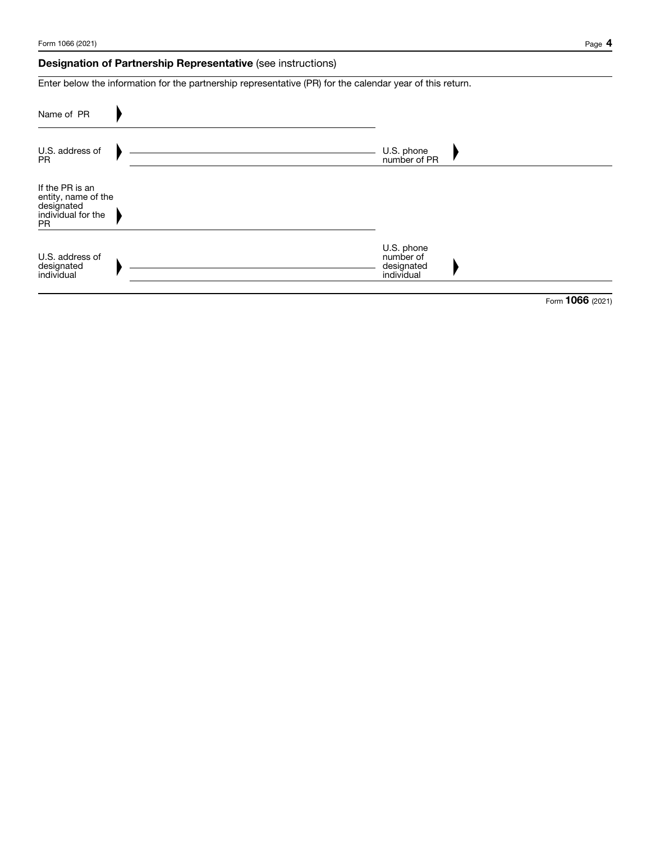## Designation of Partnership Representative (see instructions)

Enter below the information for the partnership representative (PR) for the calendar year of this return.

| Name of PR                                                                              |                                                     |
|-----------------------------------------------------------------------------------------|-----------------------------------------------------|
| U.S. address of<br><b>PR</b>                                                            | U.S. phone<br>number of PR                          |
| If the PR is an<br>entity, name of the<br>designated<br>individual for the<br><b>PR</b> |                                                     |
| U.S. address of<br>designated<br>individual                                             | U.S. phone<br>number of<br>designated<br>individual |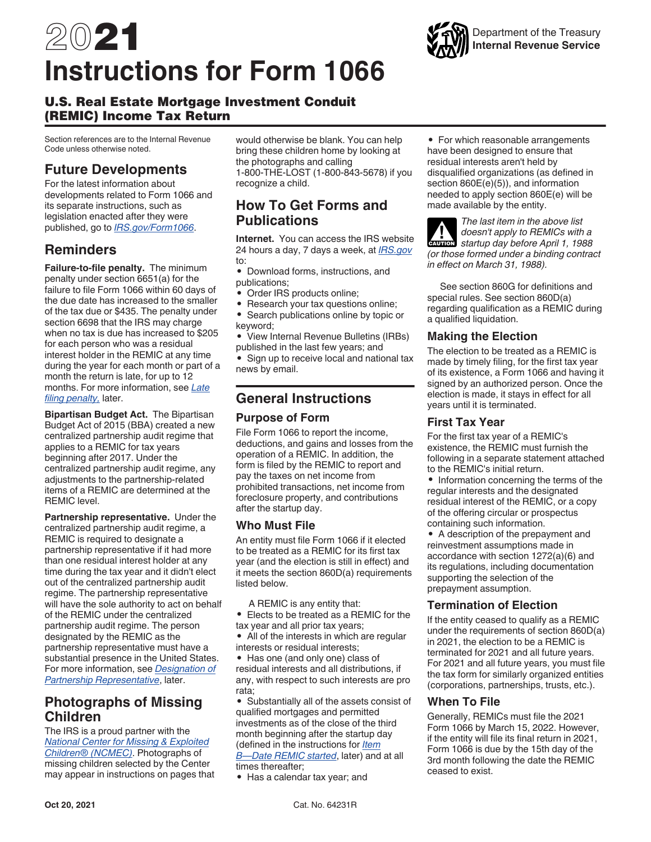# 2021 **Instructions for Form 1066**

## U.S. Real Estate Mortgage Investment Conduit (REMIC) Income Tax Return

Section references are to the Internal Revenue Code unless otherwise noted.

# **Future Developments**

For the latest information about developments related to Form 1066 and its separate instructions, such as legislation enacted after they were published, go to *[IRS.gov/Form1066](https://www.irs.gov/form1066)*.

# **Reminders**

**Failure-to-file penalty.** The minimum penalty under section 6651(a) for the failure to file Form 1066 within 60 days of the due date has increased to the smaller of the tax due or \$435. The penalty under section 6698 that the IRS may charge when no tax is due has increased to \$205 for each person who was a residual interest holder in the REMIC at any time during the year for each month or part of a month the return is late, for up to 12 months. For more information, see *Late filing penalty,* later.

**Bipartisan Budget Act.** The Bipartisan Budget Act of 2015 (BBA) created a new centralized partnership audit regime that applies to a REMIC for tax years beginning after 2017. Under the centralized partnership audit regime, any adjustments to the partnership-related items of a REMIC are determined at the REMIC level.

**Partnership representative.** Under the centralized partnership audit regime, a REMIC is required to designate a partnership representative if it had more than one residual interest holder at any time during the tax year and it didn't elect out of the centralized partnership audit regime. The partnership representative will have the sole authority to act on behalf of the REMIC under the centralized partnership audit regime. The person designated by the REMIC as the partnership representative must have a substantial presence in the United States. For more information, see *Designation of Partnership Representative*, later.

# **Photographs of Missing Children**

The IRS is a proud partner with the *[National Center for Missing & Exploited](http://www.missingkids.com)  [Children® \(NCMEC\)](http://www.missingkids.com)*. Photographs of missing children selected by the Center may appear in instructions on pages that would otherwise be blank. You can help bring these children home by looking at the photographs and calling 1-800-THE-LOST (1-800-843-5678) if you recognize a child.

## **How To Get Forms and Publications**

**Internet.** You can access the IRS website 24 hours a day, 7 days a week, at *[IRS.gov](https://www.irs.gov)*  to:

- Download forms, instructions, and publications;
- Order IRS products online;
- Research your tax questions online;
- Search publications online by topic or keyword;
- View Internal Revenue Bulletins (IRBs) published in the last few years; and

• Sign up to receive local and national tax news by email.

# **General Instructions**

#### **Purpose of Form**

File Form 1066 to report the income, deductions, and gains and losses from the operation of a REMIC. In addition, the form is filed by the REMIC to report and pay the taxes on net income from prohibited transactions, net income from foreclosure property, and contributions after the startup day.

## **Who Must File**

An entity must file Form 1066 if it elected to be treated as a REMIC for its first tax year (and the election is still in effect) and it meets the section 860D(a) requirements listed below.

A REMIC is any entity that:

- Elects to be treated as a REMIC for the
- tax year and all prior tax years; • All of the interests in which are regular
- interests or residual interests;

• Has one (and only one) class of residual interests and all distributions, if any, with respect to such interests are pro rata;

• Substantially all of the assets consist of qualified mortgages and permitted investments as of the close of the third month beginning after the startup day (defined in the instructions for *Item B—Date REMIC started*, later) and at all times thereafter;

• For which reasonable arrangements have been designed to ensure that residual interests aren't held by disqualified organizations (as defined in section 860E(e)(5)), and information needed to apply section 860E(e) will be made available by the entity.



*The last item in the above list doesn't apply to REMICs with a*  **doesn't apply to REMICs with a**<br>startup day before April 1, 1988 *(or those formed under a binding contract in effect on March 31, 1988).*

See section 860G for definitions and special rules. See section 860D(a) regarding qualification as a REMIC during a qualified liquidation.

#### **Making the Election**

The election to be treated as a REMIC is made by timely filing, for the first tax year of its existence, a Form 1066 and having it signed by an authorized person. Once the election is made, it stays in effect for all years until it is terminated.

#### **First Tax Year**

For the first tax year of a REMIC's existence, the REMIC must furnish the following in a separate statement attached to the REMIC's initial return.

• Information concerning the terms of the regular interests and the designated residual interest of the REMIC, or a copy of the offering circular or prospectus containing such information.

• A description of the prepayment and reinvestment assumptions made in accordance with section 1272(a)(6) and its regulations, including documentation supporting the selection of the prepayment assumption.

## **Termination of Election**

If the entity ceased to qualify as a REMIC under the requirements of section 860D(a) in 2021, the election to be a REMIC is terminated for 2021 and all future years. For 2021 and all future years, you must file the tax form for similarly organized entities (corporations, partnerships, trusts, etc.).

## **When To File**

Generally, REMICs must file the 2021 Form 1066 by March 15, 2022. However, if the entity will file its final return in 2021, Form 1066 is due by the 15th day of the 3rd month following the date the REMIC ceased to exist.



<sup>•</sup> Has a calendar tax year; and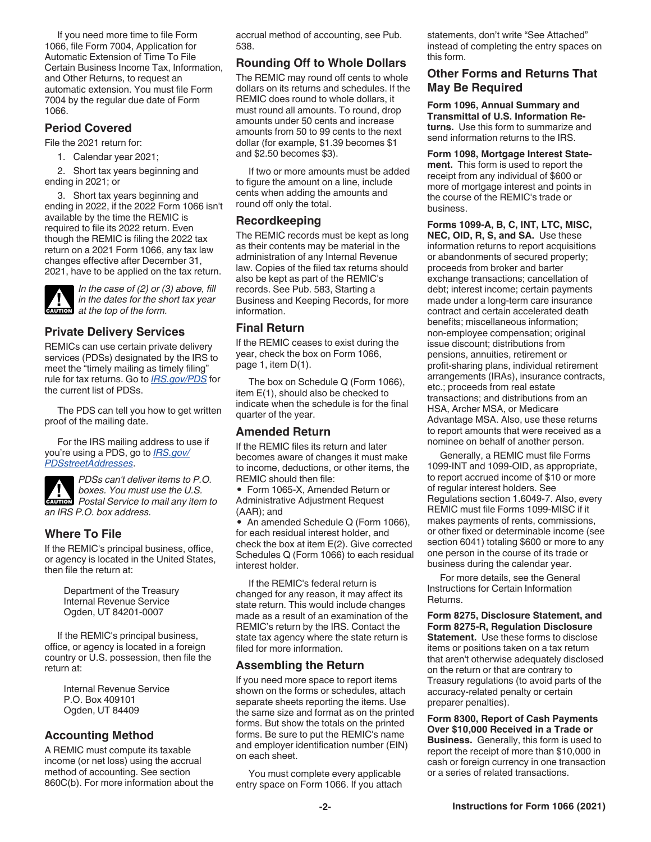If you need more time to file Form 1066, file Form 7004, Application for Automatic Extension of Time To File Certain Business Income Tax, Information, and Other Returns, to request an automatic extension. You must file Form 7004 by the regular due date of Form 1066.

#### **Period Covered**

File the 2021 return for:

1. Calendar year 2021;

2. Short tax years beginning and ending in 2021; or

3. Short tax years beginning and ending in 2022, if the 2022 Form 1066 isn't available by the time the REMIC is required to file its 2022 return. Even though the REMIC is filing the 2022 tax return on a 2021 Form 1066, any tax law changes effective after December 31, 2021, have to be applied on the tax return.



*In the case of (2) or (3) above, fill in the dates for the short tax year*  **caution** at the top of the form.

## **Private Delivery Services**

REMICs can use certain private delivery services (PDSs) designated by the IRS to meet the "timely mailing as timely filing" rule for tax returns. Go to *[IRS.gov/PDS](https://www.irs.gov/pds)* for the current list of PDSs.

The PDS can tell you how to get written proof of the mailing date.

For the IRS mailing address to use if you're using a PDS, go to *[IRS.gov/](https://www.irs.gov/pdsstreetaddresses) [PDSstreetAddresses](https://www.irs.gov/pdsstreetaddresses)*.

*PDSs can't deliver items to P.O. boxes. You must use the U.S.*  **Postal Service to mail any item to** *an IRS P.O. box address.*

## **Where To File**

If the REMIC's principal business, office, or agency is located in the United States, then file the return at:

> Department of the Treasury Internal Revenue Service Ogden, UT 84201-0007

If the REMIC's principal business, office, or agency is located in a foreign country or U.S. possession, then file the return at:

> Internal Revenue Service P.O. Box 409101 Ogden, UT 84409

## **Accounting Method**

A REMIC must compute its taxable income (or net loss) using the accrual method of accounting. See section 860C(b). For more information about the accrual method of accounting, see Pub. 538.

#### **Rounding Off to Whole Dollars**

The REMIC may round off cents to whole dollars on its returns and schedules. If the REMIC does round to whole dollars, it must round all amounts. To round, drop amounts under 50 cents and increase amounts from 50 to 99 cents to the next dollar (for example, \$1.39 becomes \$1 and \$2.50 becomes \$3).

If two or more amounts must be added to figure the amount on a line, include cents when adding the amounts and round off only the total.

#### **Recordkeeping**

The REMIC records must be kept as long as their contents may be material in the administration of any Internal Revenue law. Copies of the filed tax returns should also be kept as part of the REMIC's records. See Pub. 583, Starting a Business and Keeping Records, for more information.

## **Final Return**

If the REMIC ceases to exist during the year, check the box on Form 1066, page 1, item D(1).

The box on Schedule Q (Form 1066), item E(1), should also be checked to indicate when the schedule is for the final quarter of the year.

#### **Amended Return**

If the REMIC files its return and later becomes aware of changes it must make to income, deductions, or other items, the REMIC should then file:

• Form 1065-X, Amended Return or Administrative Adjustment Request (AAR); and

• An amended Schedule Q (Form 1066), for each residual interest holder, and check the box at item E(2). Give corrected Schedules Q (Form 1066) to each residual interest holder.

If the REMIC's federal return is changed for any reason, it may affect its state return. This would include changes made as a result of an examination of the REMIC's return by the IRS. Contact the state tax agency where the state return is filed for more information.

## **Assembling the Return**

If you need more space to report items shown on the forms or schedules, attach separate sheets reporting the items. Use the same size and format as on the printed forms. But show the totals on the printed forms. Be sure to put the REMIC's name and employer identification number (EIN) on each sheet.

You must complete every applicable entry space on Form 1066. If you attach statements, don't write "See Attached" instead of completing the entry spaces on this form.

#### **Other Forms and Returns That May Be Required**

**Form 1096, Annual Summary and Transmittal of U.S. Information Returns.** Use this form to summarize and send information returns to the IRS.

**Form 1098, Mortgage Interest Statement.** This form is used to report the receipt from any individual of \$600 or more of mortgage interest and points in the course of the REMIC's trade or business.

**Forms 1099-A, B, C, INT, LTC, MISC, NEC, OID, R, S, and SA.** Use these information returns to report acquisitions or abandonments of secured property; proceeds from broker and barter exchange transactions; cancellation of debt; interest income; certain payments made under a long-term care insurance contract and certain accelerated death benefits; miscellaneous information; non-employee compensation; original issue discount; distributions from pensions, annuities, retirement or profit-sharing plans, individual retirement arrangements (IRAs), insurance contracts, etc.; proceeds from real estate transactions; and distributions from an HSA, Archer MSA, or Medicare Advantage MSA. Also, use these returns to report amounts that were received as a nominee on behalf of another person.

Generally, a REMIC must file Forms 1099-INT and 1099-OID, as appropriate, to report accrued income of \$10 or more of regular interest holders. See Regulations section 1.6049-7. Also, every REMIC must file Forms 1099-MISC if it makes payments of rents, commissions, or other fixed or determinable income (see section 6041) totaling \$600 or more to any one person in the course of its trade or business during the calendar year.

For more details, see the General Instructions for Certain Information Returns.

**Form 8275, Disclosure Statement, and Form 8275-R, Regulation Disclosure Statement.** Use these forms to disclose items or positions taken on a tax return that aren't otherwise adequately disclosed on the return or that are contrary to Treasury regulations (to avoid parts of the accuracy-related penalty or certain preparer penalties).

**Form 8300, Report of Cash Payments Over \$10,000 Received in a Trade or Business.** Generally, this form is used to report the receipt of more than \$10,000 in cash or foreign currency in one transaction or a series of related transactions.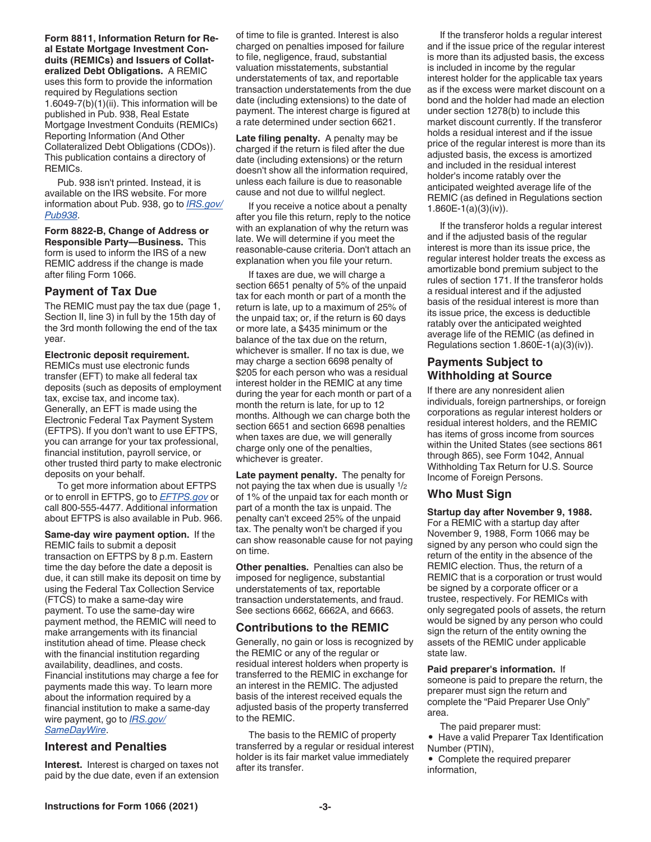**Form 8811, Information Return for Real Estate Mortgage Investment Conduits (REMICs) and Issuers of Collateralized Debt Obligations.** A REMIC uses this form to provide the information required by Regulations section 1.6049-7(b)(1)(ii). This information will be published in Pub. 938, Real Estate Mortgage Investment Conduits (REMICs) Reporting Information (And Other Collateralized Debt Obligations (CDOs)). This publication contains a directory of REMICs.

Pub. 938 isn't printed. Instead, it is available on the IRS website. For more information about Pub. 938, go to *[IRS.gov/](https://www.irs.gov/pub938) [Pub938](https://www.irs.gov/pub938)*.

**Form 8822-B, Change of Address or Responsible Party—Business.** This form is used to inform the IRS of a new REMIC address if the change is made after filing Form 1066.

#### **Payment of Tax Due**

The REMIC must pay the tax due (page 1, Section II, line 3) in full by the 15th day of the 3rd month following the end of the tax year.

**Electronic deposit requirement.**  REMICs must use electronic funds transfer (EFT) to make all federal tax deposits (such as deposits of employment tax, excise tax, and income tax). Generally, an EFT is made using the Electronic Federal Tax Payment System (EFTPS). If you don't want to use EFTPS, you can arrange for your tax professional, financial institution, payroll service, or other trusted third party to make electronic deposits on your behalf.

To get more information about EFTPS or to enroll in EFTPS, go to *[EFTPS.gov](https://www.eftps.gov)* or call 800-555-4477. Additional information about EFTPS is also available in Pub. 966.

**Same-day wire payment option.** If the REMIC fails to submit a deposit transaction on EFTPS by 8 p.m. Eastern time the day before the date a deposit is due, it can still make its deposit on time by using the Federal Tax Collection Service (FTCS) to make a same-day wire payment. To use the same-day wire payment method, the REMIC will need to make arrangements with its financial institution ahead of time. Please check with the financial institution regarding availability, deadlines, and costs. Financial institutions may charge a fee for payments made this way. To learn more about the information required by a financial institution to make a same-day wire payment, go to *[IRS.gov/](https://www.irs.gov/samedaywire) [SameDayWire](https://www.irs.gov/samedaywire)*.

#### **Interest and Penalties**

**Interest.** Interest is charged on taxes not paid by the due date, even if an extension of time to file is granted. Interest is also charged on penalties imposed for failure to file, negligence, fraud, substantial valuation misstatements, substantial understatements of tax, and reportable transaction understatements from the due date (including extensions) to the date of payment. The interest charge is figured at a rate determined under section 6621.

**Late filing penalty.** A penalty may be charged if the return is filed after the due date (including extensions) or the return doesn't show all the information required, unless each failure is due to reasonable cause and not due to willful neglect.

If you receive a notice about a penalty after you file this return, reply to the notice with an explanation of why the return was late. We will determine if you meet the reasonable-cause criteria. Don't attach an explanation when you file your return.

If taxes are due, we will charge a section 6651 penalty of 5% of the unpaid tax for each month or part of a month the return is late, up to a maximum of 25% of the unpaid tax; or, if the return is 60 days or more late, a \$435 minimum or the balance of the tax due on the return, whichever is smaller. If no tax is due, we may charge a section 6698 penalty of \$205 for each person who was a residual interest holder in the REMIC at any time during the year for each month or part of a month the return is late, for up to 12 months. Although we can charge both the section 6651 and section 6698 penalties when taxes are due, we will generally charge only one of the penalties, whichever is greater.

**Late payment penalty.** The penalty for not paying the tax when due is usually 1/2 of 1% of the unpaid tax for each month or part of a month the tax is unpaid. The penalty can't exceed 25% of the unpaid tax. The penalty won't be charged if you can show reasonable cause for not paying on time.

**Other penalties.** Penalties can also be imposed for negligence, substantial understatements of tax, reportable transaction understatements, and fraud. See sections 6662, 6662A, and 6663.

#### **Contributions to the REMIC**

Generally, no gain or loss is recognized by the REMIC or any of the regular or residual interest holders when property is transferred to the REMIC in exchange for an interest in the REMIC. The adjusted basis of the interest received equals the adjusted basis of the property transferred to the REMIC.

The basis to the REMIC of property transferred by a regular or residual interest holder is its fair market value immediately after its transfer.

If the transferor holds a regular interest and if the issue price of the regular interest is more than its adjusted basis, the excess is included in income by the regular interest holder for the applicable tax years as if the excess were market discount on a bond and the holder had made an election under section 1278(b) to include this market discount currently. If the transferor holds a residual interest and if the issue price of the regular interest is more than its adjusted basis, the excess is amortized and included in the residual interest holder's income ratably over the anticipated weighted average life of the REMIC (as defined in Regulations section 1.860E-1(a)(3)(iv)).

If the transferor holds a regular interest and if the adjusted basis of the regular interest is more than its issue price, the regular interest holder treats the excess as amortizable bond premium subject to the rules of section 171. If the transferor holds a residual interest and if the adjusted basis of the residual interest is more than its issue price, the excess is deductible ratably over the anticipated weighted average life of the REMIC (as defined in Regulations section 1.860E-1(a)(3)(iv)).

#### **Payments Subject to Withholding at Source**

If there are any nonresident alien individuals, foreign partnerships, or foreign corporations as regular interest holders or residual interest holders, and the REMIC has items of gross income from sources within the United States (see sections 861 through 865), see Form 1042, Annual Withholding Tax Return for U.S. Source Income of Foreign Persons.

## **Who Must Sign**

**Startup day after November 9, 1988.**  For a REMIC with a startup day after November 9, 1988, Form 1066 may be signed by any person who could sign the return of the entity in the absence of the REMIC election. Thus, the return of a REMIC that is a corporation or trust would be signed by a corporate officer or a trustee, respectively. For REMICs with only segregated pools of assets, the return would be signed by any person who could sign the return of the entity owning the assets of the REMIC under applicable state law.

#### **Paid preparer's information.** If

someone is paid to prepare the return, the preparer must sign the return and complete the "Paid Preparer Use Only" area.

The paid preparer must:

- Have a valid Preparer Tax Identification Number (PTIN),
- Complete the required preparer information,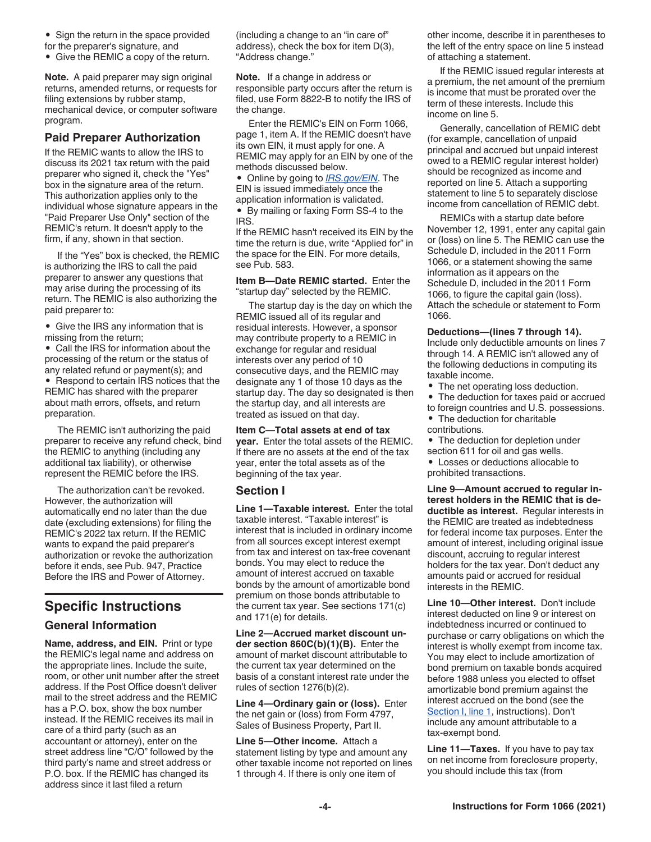- Sign the return in the space provided for the preparer's signature, and
- Give the REMIC a copy of the return.

**Note.** A paid preparer may sign original returns, amended returns, or requests for filing extensions by rubber stamp, mechanical device, or computer software program.

#### **Paid Preparer Authorization**

If the REMIC wants to allow the IRS to discuss its 2021 tax return with the paid preparer who signed it, check the "Yes" box in the signature area of the return. This authorization applies only to the individual whose signature appears in the "Paid Preparer Use Only" section of the REMIC's return. It doesn't apply to the firm, if any, shown in that section.

If the "Yes" box is checked, the REMIC is authorizing the IRS to call the paid preparer to answer any questions that may arise during the processing of its return. The REMIC is also authorizing the paid preparer to:

• Give the IRS any information that is missing from the return;

• Call the IRS for information about the processing of the return or the status of any related refund or payment(s); and • Respond to certain IRS notices that the REMIC has shared with the preparer

about math errors, offsets, and return preparation.

The REMIC isn't authorizing the paid preparer to receive any refund check, bind the REMIC to anything (including any additional tax liability), or otherwise represent the REMIC before the IRS.

The authorization can't be revoked. However, the authorization will automatically end no later than the due date (excluding extensions) for filing the REMIC's 2022 tax return. If the REMIC wants to expand the paid preparer's authorization or revoke the authorization before it ends, see Pub. 947, Practice Before the IRS and Power of Attorney.

# **Specific Instructions**

## **General Information**

**Name, address, and EIN.** Print or type the REMIC's legal name and address on the appropriate lines. Include the suite, room, or other unit number after the street address. If the Post Office doesn't deliver mail to the street address and the REMIC has a P.O. box, show the box number instead. If the REMIC receives its mail in care of a third party (such as an accountant or attorney), enter on the street address line "C/O" followed by the third party's name and street address or P.O. box. If the REMIC has changed its address since it last filed a return

(including a change to an "in care of" address), check the box for item D(3), "Address change."

**Note.** If a change in address or responsible party occurs after the return is filed, use Form 8822-B to notify the IRS of the change.

Enter the REMIC's EIN on Form 1066, page 1, item A. If the REMIC doesn't have its own EIN, it must apply for one. A REMIC may apply for an EIN by one of the methods discussed below.

• Online by going to *[IRS.gov/EIN](https://www.irs.gov/ein)*. The EIN is issued immediately once the application information is validated. • By mailing or faxing Form SS-4 to the IRS.

If the REMIC hasn't received its EIN by the time the return is due, write "Applied for" in the space for the EIN. For more details, see Pub. 583.

**Item B—Date REMIC started.** Enter the "startup day" selected by the REMIC.

The startup day is the day on which the REMIC issued all of its regular and residual interests. However, a sponsor may contribute property to a REMIC in exchange for regular and residual interests over any period of 10 consecutive days, and the REMIC may designate any 1 of those 10 days as the startup day. The day so designated is then the startup day, and all interests are treated as issued on that day.

**Item C—Total assets at end of tax year.** Enter the total assets of the REMIC. If there are no assets at the end of the tax year, enter the total assets as of the beginning of the tax year.

#### **Section I**

**Line 1—Taxable interest.** Enter the total taxable interest. "Taxable interest" is interest that is included in ordinary income from all sources except interest exempt from tax and interest on tax-free covenant bonds. You may elect to reduce the amount of interest accrued on taxable bonds by the amount of amortizable bond premium on those bonds attributable to the current tax year. See sections 171(c) and 171(e) for details.

**Line 2—Accrued market discount under section 860C(b)(1)(B).** Enter the amount of market discount attributable to the current tax year determined on the basis of a constant interest rate under the rules of section 1276(b)(2).

**Line 4—Ordinary gain or (loss).** Enter the net gain or (loss) from Form 4797, Sales of Business Property, Part II.

**Line 5—Other income.** Attach a statement listing by type and amount any other taxable income not reported on lines 1 through 4. If there is only one item of

other income, describe it in parentheses to the left of the entry space on line 5 instead of attaching a statement.

If the REMIC issued regular interests at a premium, the net amount of the premium is income that must be prorated over the term of these interests. Include this income on line 5.

Generally, cancellation of REMIC debt (for example, cancellation of unpaid principal and accrued but unpaid interest owed to a REMIC regular interest holder) should be recognized as income and reported on line 5. Attach a supporting statement to line 5 to separately disclose income from cancellation of REMIC debt.

REMICs with a startup date before November 12, 1991, enter any capital gain or (loss) on line 5. The REMIC can use the Schedule D, included in the 2011 Form 1066, or a statement showing the same information as it appears on the Schedule D, included in the 2011 Form 1066, to figure the capital gain (loss). Attach the schedule or statement to Form 1066.

**Deductions—(lines 7 through 14).**  Include only deductible amounts on lines 7 through 14. A REMIC isn't allowed any of the following deductions in computing its taxable income.

- The net operating loss deduction.
- The deduction for taxes paid or accrued to foreign countries and U.S. possessions.
- The deduction for charitable contributions.
- The deduction for depletion under section 611 for oil and gas wells.
- Losses or deductions allocable to prohibited transactions.

**Line 9—Amount accrued to regular interest holders in the REMIC that is deductible as interest.** Regular interests in the REMIC are treated as indebtedness for federal income tax purposes. Enter the amount of interest, including original issue discount, accruing to regular interest holders for the tax year. Don't deduct any amounts paid or accrued for residual interests in the REMIC.

**Line 10—Other interest.** Don't include interest deducted on line 9 or interest on indebtedness incurred or continued to purchase or carry obligations on which the interest is wholly exempt from income tax. You may elect to include amortization of bond premium on taxable bonds acquired before 1988 unless you elected to offset amortizable bond premium against the interest accrued on the bond (see the Section I, line 1, instructions). Don't include any amount attributable to a tax-exempt bond.

**Line 11—Taxes.** If you have to pay tax on net income from foreclosure property, you should include this tax (from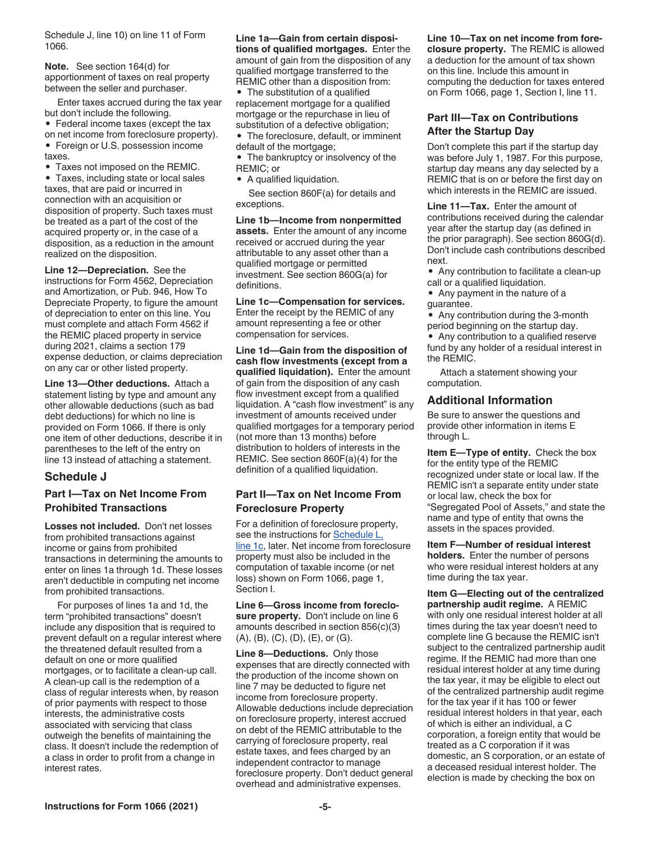Schedule J, line 10) on line 11 of Form 1066.

**Note.** See section 164(d) for apportionment of taxes on real property between the seller and purchaser.

Enter taxes accrued during the tax year but don't include the following.

• Federal income taxes (except the tax on net income from foreclosure property).

• Foreign or U.S. possession income taxes.

• Taxes not imposed on the REMIC.

• Taxes, including state or local sales taxes, that are paid or incurred in connection with an acquisition or disposition of property. Such taxes must be treated as a part of the cost of the acquired property or, in the case of a disposition, as a reduction in the amount realized on the disposition.

**Line 12—Depreciation.** See the instructions for Form 4562, Depreciation and Amortization, or Pub. 946, How To Depreciate Property, to figure the amount of depreciation to enter on this line. You must complete and attach Form 4562 if the REMIC placed property in service during 2021, claims a section 179 expense deduction, or claims depreciation on any car or other listed property.

**Line 13—Other deductions.** Attach a statement listing by type and amount any other allowable deductions (such as bad debt deductions) for which no line is provided on Form 1066. If there is only one item of other deductions, describe it in parentheses to the left of the entry on line 13 instead of attaching a statement.

#### **Schedule J**

#### **Part I—Tax on Net Income From Prohibited Transactions**

**Losses not included.** Don't net losses from prohibited transactions against income or gains from prohibited transactions in determining the amounts to enter on lines 1a through 1d. These losses aren't deductible in computing net income from prohibited transactions.

For purposes of lines 1a and 1d, the term "prohibited transactions" doesn't include any disposition that is required to prevent default on a regular interest where the threatened default resulted from a default on one or more qualified mortgages, or to facilitate a clean-up call. A clean-up call is the redemption of a class of regular interests when, by reason of prior payments with respect to those interests, the administrative costs associated with servicing that class outweigh the benefits of maintaining the class. It doesn't include the redemption of a class in order to profit from a change in interest rates.

#### **Line 1a—Gain from certain dispositions of qualified mortgages.** Enter the amount of gain from the disposition of any qualified mortgage transferred to the

REMIC other than a disposition from: • The substitution of a qualified replacement mortgage for a qualified mortgage or the repurchase in lieu of substitution of a defective obligation;

• The foreclosure, default, or imminent default of the mortgage;

• The bankruptcy or insolvency of the REMIC; or

• A qualified liquidation.

See section 860F(a) for details and exceptions.

**Line 1b—Income from nonpermitted assets.** Enter the amount of any income received or accrued during the year attributable to any asset other than a qualified mortgage or permitted investment. See section 860G(a) for definitions.

**Line 1c—Compensation for services.**  Enter the receipt by the REMIC of any amount representing a fee or other compensation for services.

**Line 1d—Gain from the disposition of cash flow investments (except from a qualified liquidation).** Enter the amount of gain from the disposition of any cash flow investment except from a qualified liquidation. A "cash flow investment" is any investment of amounts received under qualified mortgages for a temporary period (not more than 13 months) before distribution to holders of interests in the REMIC. See section 860F(a)(4) for the definition of a qualified liquidation.

#### **Part II—Tax on Net Income From Foreclosure Property**

For a definition of foreclosure property, see the instructions for Schedule L, line 1c, later. Net income from foreclosure property must also be included in the computation of taxable income (or net loss) shown on Form 1066, page 1, Section I.

**Line 6—Gross income from foreclosure property.** Don't include on line 6 amounts described in section 856(c)(3) (A), (B), (C), (D), (E), or (G).

**Line 8—Deductions.** Only those expenses that are directly connected with the production of the income shown on line 7 may be deducted to figure net income from foreclosure property. Allowable deductions include depreciation on foreclosure property, interest accrued on debt of the REMIC attributable to the carrying of foreclosure property, real estate taxes, and fees charged by an independent contractor to manage foreclosure property. Don't deduct general overhead and administrative expenses.

**Line 10—Tax on net income from foreclosure property.** The REMIC is allowed a deduction for the amount of tax shown on this line. Include this amount in computing the deduction for taxes entered on Form 1066, page 1, Section I, line 11.

#### **Part III—Tax on Contributions After the Startup Day**

Don't complete this part if the startup day was before July 1, 1987. For this purpose, startup day means any day selected by a REMIC that is on or before the first day on which interests in the REMIC are issued.

**Line 11—Tax.** Enter the amount of contributions received during the calendar year after the startup day (as defined in the prior paragraph). See section 860G(d). Don't include cash contributions described next.

• Any contribution to facilitate a clean-up call or a qualified liquidation.

• Any payment in the nature of a guarantee.

• Any contribution during the 3-month period beginning on the startup day.

• Any contribution to a qualified reserve fund by any holder of a residual interest in the REMIC.

Attach a statement showing your computation.

#### **Additional Information**

Be sure to answer the questions and provide other information in items E through L.

**Item E—Type of entity.** Check the box for the entity type of the REMIC recognized under state or local law. If the REMIC isn't a separate entity under state or local law, check the box for "Segregated Pool of Assets," and state the name and type of entity that owns the assets in the spaces provided.

**Item F—Number of residual interest holders.** Enter the number of persons who were residual interest holders at any time during the tax year.

**Item G—Electing out of the centralized partnership audit regime.** A REMIC with only one residual interest holder at all times during the tax year doesn't need to complete line G because the REMIC isn't subject to the centralized partnership audit regime. If the REMIC had more than one residual interest holder at any time during the tax year, it may be eligible to elect out of the centralized partnership audit regime for the tax year if it has 100 or fewer residual interest holders in that year, each of which is either an individual, a C corporation, a foreign entity that would be treated as a C corporation if it was domestic, an S corporation, or an estate of a deceased residual interest holder. The election is made by checking the box on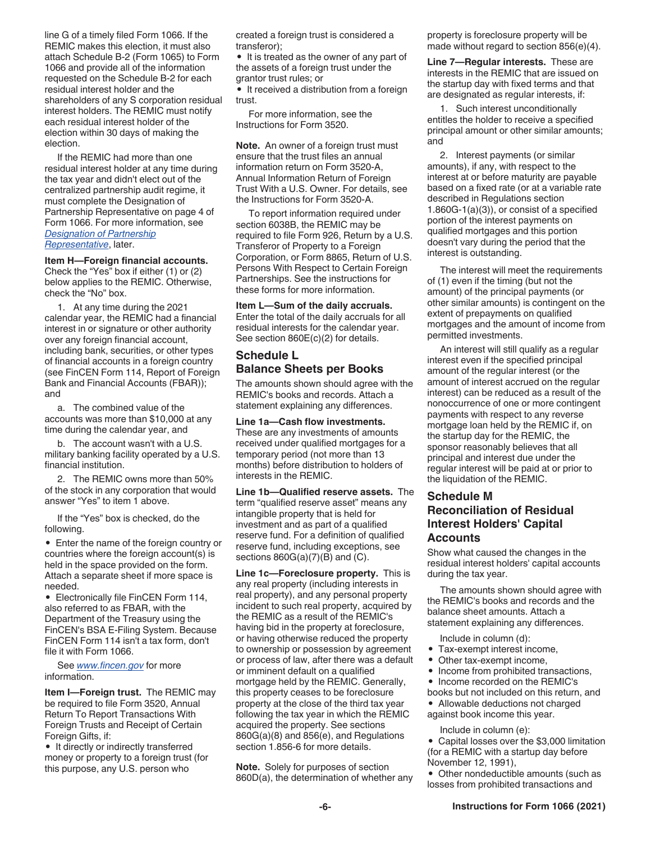line G of a timely filed Form 1066. If the REMIC makes this election, it must also attach Schedule B-2 (Form 1065) to Form 1066 and provide all of the information requested on the Schedule B-2 for each residual interest holder and the shareholders of any S corporation residual interest holders. The REMIC must notify each residual interest holder of the election within 30 days of making the election.

If the REMIC had more than one residual interest holder at any time during the tax year and didn't elect out of the centralized partnership audit regime, it must complete the Designation of Partnership Representative on page 4 of Form 1066. For more information, see *Designation of Partnership Representative*, later.

**Item H—Foreign financial accounts.**  Check the "Yes" box if either (1) or (2) below applies to the REMIC. Otherwise, check the "No" box.

1. At any time during the 2021 calendar year, the REMIC had a financial interest in or signature or other authority over any foreign financial account, including bank, securities, or other types of financial accounts in a foreign country (see FinCEN Form 114, Report of Foreign Bank and Financial Accounts (FBAR)); and

a. The combined value of the accounts was more than \$10,000 at any time during the calendar year, and

b. The account wasn't with a U.S. military banking facility operated by a U.S. financial institution.

2. The REMIC owns more than 50% of the stock in any corporation that would answer "Yes" to item 1 above.

If the "Yes" box is checked, do the following.

• Enter the name of the foreign country or countries where the foreign account(s) is held in the space provided on the form. Attach a separate sheet if more space is needed.

• Electronically file FinCEN Form 114, also referred to as FBAR, with the Department of the Treasury using the FinCEN's BSA E-Filing System. Because FinCEN Form 114 isn't a tax form, don't file it with Form 1066.

See *[www.fincen.gov](https://www.fincen.gov)* for more information.

**Item I—Foreign trust.** The REMIC may be required to file Form 3520, Annual Return To Report Transactions With Foreign Trusts and Receipt of Certain Foreign Gifts, if:

• It directly or indirectly transferred money or property to a foreign trust (for this purpose, any U.S. person who

created a foreign trust is considered a transferor);

• It is treated as the owner of any part of the assets of a foreign trust under the grantor trust rules; or

• It received a distribution from a foreign trust.

For more information, see the Instructions for Form 3520.

**Note.** An owner of a foreign trust must ensure that the trust files an annual information return on Form 3520-A, Annual Information Return of Foreign Trust With a U.S. Owner. For details, see the Instructions for Form 3520-A.

To report information required under section 6038B, the REMIC may be required to file Form 926, Return by a U.S. Transferor of Property to a Foreign Corporation, or Form 8865, Return of U.S. Persons With Respect to Certain Foreign Partnerships. See the instructions for these forms for more information.

**Item L—Sum of the daily accruals.**  Enter the total of the daily accruals for all residual interests for the calendar year. See section 860E(c)(2) for details.

## **Schedule L Balance Sheets per Books**

The amounts shown should agree with the REMIC's books and records. Attach a statement explaining any differences.

**Line 1a—Cash flow investments.**  These are any investments of amounts received under qualified mortgages for a temporary period (not more than 13 months) before distribution to holders of interests in the REMIC.

**Line 1b—Qualified reserve assets.** The term "qualified reserve asset" means any intangible property that is held for investment and as part of a qualified reserve fund. For a definition of qualified reserve fund, including exceptions, see sections  $860G(a)(7)(B)$  and  $(C)$ .

**Line 1c—Foreclosure property.** This is any real property (including interests in real property), and any personal property incident to such real property, acquired by the REMIC as a result of the REMIC's having bid in the property at foreclosure, or having otherwise reduced the property to ownership or possession by agreement or process of law, after there was a default or imminent default on a qualified mortgage held by the REMIC. Generally, this property ceases to be foreclosure property at the close of the third tax year following the tax year in which the REMIC acquired the property. See sections 860G(a)(8) and 856(e), and Regulations section 1.856-6 for more details.

**Note.** Solely for purposes of section 860D(a), the determination of whether any property is foreclosure property will be made without regard to section 856(e)(4).

**Line 7—Regular interests.** These are interests in the REMIC that are issued on the startup day with fixed terms and that are designated as regular interests, if:

1. Such interest unconditionally entitles the holder to receive a specified principal amount or other similar amounts; and

2. Interest payments (or similar amounts), if any, with respect to the interest at or before maturity are payable based on a fixed rate (or at a variable rate described in Regulations section 1.860G-1(a)(3)), or consist of a specified portion of the interest payments on qualified mortgages and this portion doesn't vary during the period that the interest is outstanding.

The interest will meet the requirements of (1) even if the timing (but not the amount) of the principal payments (or other similar amounts) is contingent on the extent of prepayments on qualified mortgages and the amount of income from permitted investments.

An interest will still qualify as a regular interest even if the specified principal amount of the regular interest (or the amount of interest accrued on the regular interest) can be reduced as a result of the nonoccurrence of one or more contingent payments with respect to any reverse mortgage loan held by the REMIC if, on the startup day for the REMIC, the sponsor reasonably believes that all principal and interest due under the regular interest will be paid at or prior to the liquidation of the REMIC.

#### **Schedule M Reconciliation of Residual Interest Holders' Capital Accounts**

Show what caused the changes in the residual interest holders' capital accounts during the tax year.

The amounts shown should agree with the REMIC's books and records and the balance sheet amounts. Attach a statement explaining any differences.

Include in column (d):

- Tax-exempt interest income,
- Other tax-exempt income,
- Income from prohibited transactions,

• Income recorded on the REMIC's books but not included on this return, and • Allowable deductions not charged

against book income this year.

Include in column (e):

• Capital losses over the \$3,000 limitation (for a REMIC with a startup day before November 12, 1991),

• Other nondeductible amounts (such as losses from prohibited transactions and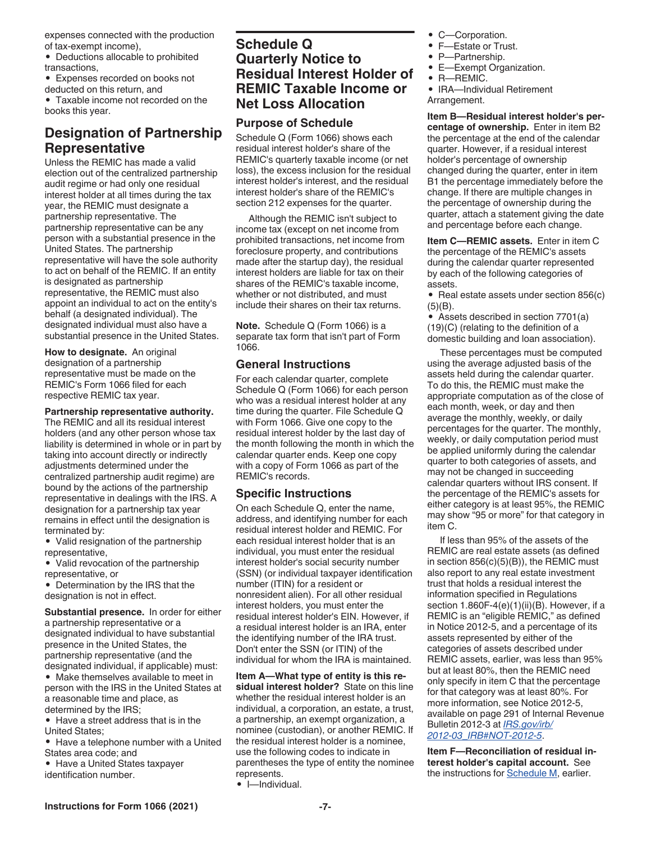expenses connected with the production of tax-exempt income),

• Deductions allocable to prohibited transactions,

• Expenses recorded on books not deducted on this return, and

• Taxable income not recorded on the books this year.

# **Designation of Partnership Representative**

Unless the REMIC has made a valid election out of the centralized partnership audit regime or had only one residual interest holder at all times during the tax year, the REMIC must designate a partnership representative. The partnership representative can be any person with a substantial presence in the United States. The partnership representative will have the sole authority to act on behalf of the REMIC. If an entity is designated as partnership representative, the REMIC must also appoint an individual to act on the entity's behalf (a designated individual). The designated individual must also have a substantial presence in the United States.

**How to designate.** An original designation of a partnership representative must be made on the REMIC's Form 1066 filed for each respective REMIC tax year.

**Partnership representative authority.** 

The REMIC and all its residual interest holders (and any other person whose tax liability is determined in whole or in part by taking into account directly or indirectly adjustments determined under the centralized partnership audit regime) are bound by the actions of the partnership representative in dealings with the IRS. A designation for a partnership tax year remains in effect until the designation is terminated by:

• Valid resignation of the partnership representative,

• Valid revocation of the partnership representative, or

• Determination by the IRS that the designation is not in effect.

**Substantial presence.** In order for either a partnership representative or a designated individual to have substantial presence in the United States, the partnership representative (and the designated individual, if applicable) must:

• Make themselves available to meet in person with the IRS in the United States at a reasonable time and place, as determined by the IRS;

• Have a street address that is in the United States;

• Have a telephone number with a United States area code; and

• Have a United States taxpayer identification number.

# **Schedule Q Quarterly Notice to Residual Interest Holder of REMIC Taxable Income or Net Loss Allocation**

#### **Purpose of Schedule**

Schedule Q (Form 1066) shows each residual interest holder's share of the REMIC's quarterly taxable income (or net loss), the excess inclusion for the residual interest holder's interest, and the residual interest holder's share of the REMIC's section 212 expenses for the quarter.

Although the REMIC isn't subject to income tax (except on net income from prohibited transactions, net income from foreclosure property, and contributions made after the startup day), the residual interest holders are liable for tax on their shares of the REMIC's taxable income, whether or not distributed, and must include their shares on their tax returns.

**Note.** Schedule Q (Form 1066) is a separate tax form that isn't part of Form 1066.

#### **General Instructions**

For each calendar quarter, complete Schedule Q (Form 1066) for each person who was a residual interest holder at any time during the quarter. File Schedule Q with Form 1066. Give one copy to the residual interest holder by the last day of the month following the month in which the calendar quarter ends. Keep one copy with a copy of Form 1066 as part of the REMIC's records.

#### **Specific Instructions**

On each Schedule Q, enter the name, address, and identifying number for each residual interest holder and REMIC. For each residual interest holder that is an individual, you must enter the residual interest holder's social security number (SSN) (or individual taxpayer identification number (ITIN) for a resident or nonresident alien). For all other residual interest holders, you must enter the residual interest holder's EIN. However, if a residual interest holder is an IRA, enter the identifying number of the IRA trust. Don't enter the SSN (or ITIN) of the individual for whom the IRA is maintained.

**Item A—What type of entity is this residual interest holder?** State on this line whether the residual interest holder is an individual, a corporation, an estate, a trust, a partnership, an exempt organization, a nominee (custodian), or another REMIC. If the residual interest holder is a nominee, use the following codes to indicate in parentheses the type of entity the nominee represents.

• I—Individual.

- F—Estate or Trust.
- P-Partnership.
- E—Exempt Organization.
- R—REMIC.
- IRA—Individual Retirement Arrangement.

**Item B—Residual interest holder's percentage of ownership.** Enter in item B2 the percentage at the end of the calendar quarter. However, if a residual interest holder's percentage of ownership changed during the quarter, enter in item B1 the percentage immediately before the change. If there are multiple changes in the percentage of ownership during the quarter, attach a statement giving the date and percentage before each change.

**Item C—REMIC assets.** Enter in item C the percentage of the REMIC's assets during the calendar quarter represented by each of the following categories of assets.

• Real estate assets under section 856(c)  $(5)(B)$ .

• Assets described in section 7701(a) (19)(C) (relating to the definition of a domestic building and loan association).

These percentages must be computed using the average adjusted basis of the assets held during the calendar quarter. To do this, the REMIC must make the appropriate computation as of the close of each month, week, or day and then average the monthly, weekly, or daily percentages for the quarter. The monthly, weekly, or daily computation period must be applied uniformly during the calendar quarter to both categories of assets, and may not be changed in succeeding calendar quarters without IRS consent. If the percentage of the REMIC's assets for either category is at least 95%, the REMIC may show "95 or more" for that category in item C.

If less than 95% of the assets of the REMIC are real estate assets (as defined in section 856(c)(5)(B)), the REMIC must also report to any real estate investment trust that holds a residual interest the information specified in Regulations section 1.860F-4(e)(1)(ii)(B). However, if a REMIC is an "eligible REMIC," as defined in Notice 2012-5, and a percentage of its assets represented by either of the categories of assets described under REMIC assets, earlier, was less than 95% but at least 80%, then the REMIC need only specify in item C that the percentage for that category was at least 80%. For more information, see Notice 2012-5, available on page 291 of Internal Revenue Bulletin 2012-3 at *[IRS.gov/irb/](https://www.irs.gov/irb/2012-03_IRB#NOT-2012-5) [2012-03\\_IRB#NOT-2012-5](https://www.irs.gov/irb/2012-03_IRB#NOT-2012-5)*.

**Item F—Reconciliation of residual interest holder's capital account.** See the instructions for **Schedule M**, earlier.